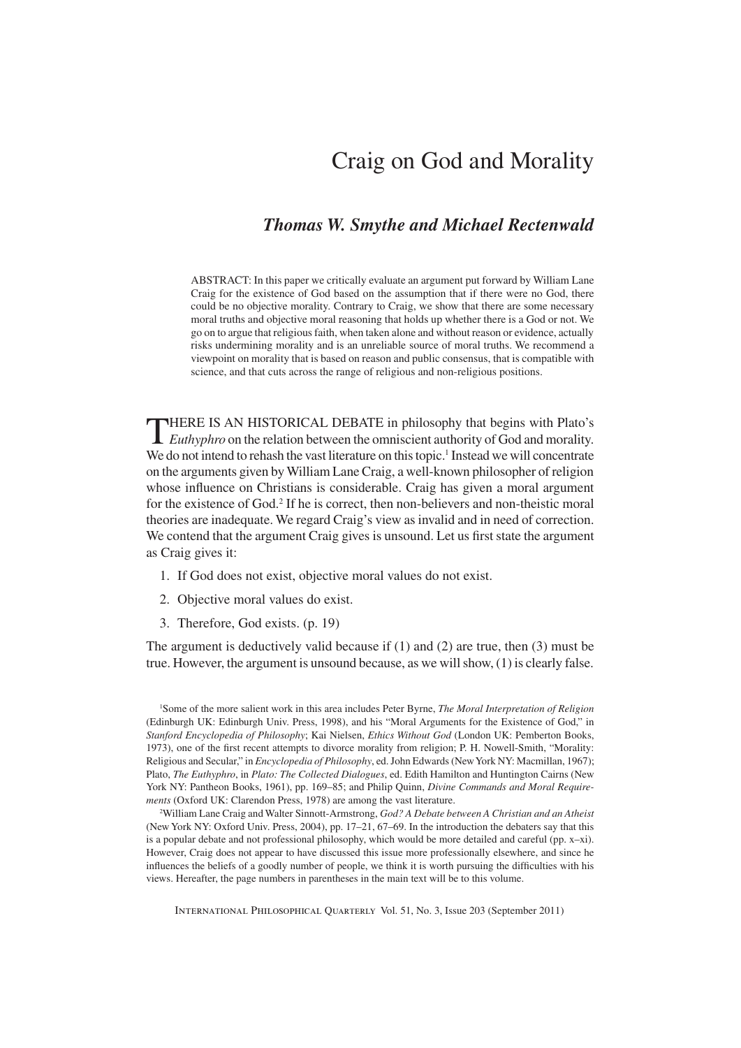## Craig on God and Morality

## *Thomas W. Smythe and Michael Rectenwald*

ABSTRACT: In this paper we critically evaluate an argument put forward by William Lane Craig for the existence of God based on the assumption that if there were no God, there could be no objective morality. Contrary to Craig, we show that there are some necessary moral truths and objective moral reasoning that holds up whether there is a God or not. We go on to argue that religious faith, when taken alone and without reason or evidence, actually risks undermining morality and is an unreliable source of moral truths. We recommend a viewpoint on morality that is based on reason and public consensus, that is compatible with science, and that cuts across the range of religious and non-religious positions.

**THERE IS AN HISTORICAL DEBATE** in philosophy that begins with Plato's *Euthyphro* on the relation between the omniscient authority of God and morality. We do not intend to rehash the vast literature on this topic.<sup>1</sup> Instead we will concentrate on the arguments given by William Lane Craig, a well-known philosopher of religion whose influence on Christians is considerable. Craig has given a moral argument for the existence of God.<sup>2</sup> If he is correct, then non-believers and non-theistic moral theories are inadequate. We regard Craig's view as invalid and in need of correction. We contend that the argument Craig gives is unsound. Let us first state the argument as Craig gives it:

- 1. If God does not exist, objective moral values do not exist.
- 2. Objective moral values do exist.
- 3. Therefore, God exists. (p. 19)

The argument is deductively valid because if (1) and (2) are true, then (3) must be true. However, the argument is unsound because, as we will show, (1) is clearly false.

1 Some of the more salient work in this area includes Peter Byrne, *The Moral Interpretation of Religion* (Edinburgh UK: Edinburgh Univ. Press, 1998), and his "Moral Arguments for the Existence of God," in *Stanford Encyclopedia of Philosophy*; Kai Nielsen, *Ethics Without God* (London UK: Pemberton Books, 1973), one of the first recent attempts to divorce morality from religion; P. H. Nowell-Smith, "Morality: Religious and Secular," in *Encyclopedia of Philosophy*, ed. John Edwards (New York NY: Macmillan, 1967); Plato, *The Euthyphro*, in *Plato: The Collected Dialogues*, ed. Edith Hamilton and Huntington Cairns (New York NY: Pantheon Books, 1961), pp. 169–85; and Philip Quinn, *Divine Commands and Moral Requirements* (Oxford UK: Clarendon Press, 1978) are among the vast literature.

2 William Lane Craig and Walter Sinnott-Armstrong, *God? A Debate between A Christian and an Atheist* (New York NY: Oxford Univ. Press, 2004), pp. 17–21, 67–69. In the introduction the debaters say that this is a popular debate and not professional philosophy, which would be more detailed and careful (pp.  $x-xi$ ). However, Craig does not appear to have discussed this issue more professionally elsewhere, and since he influences the beliefs of a goodly number of people, we think it is worth pursuing the difficulties with his views. Hereafter, the page numbers in parentheses in the main text will be to this volume.

International Philosophical Quarterly Vol. 51, No. 3, Issue 203 (September 2011)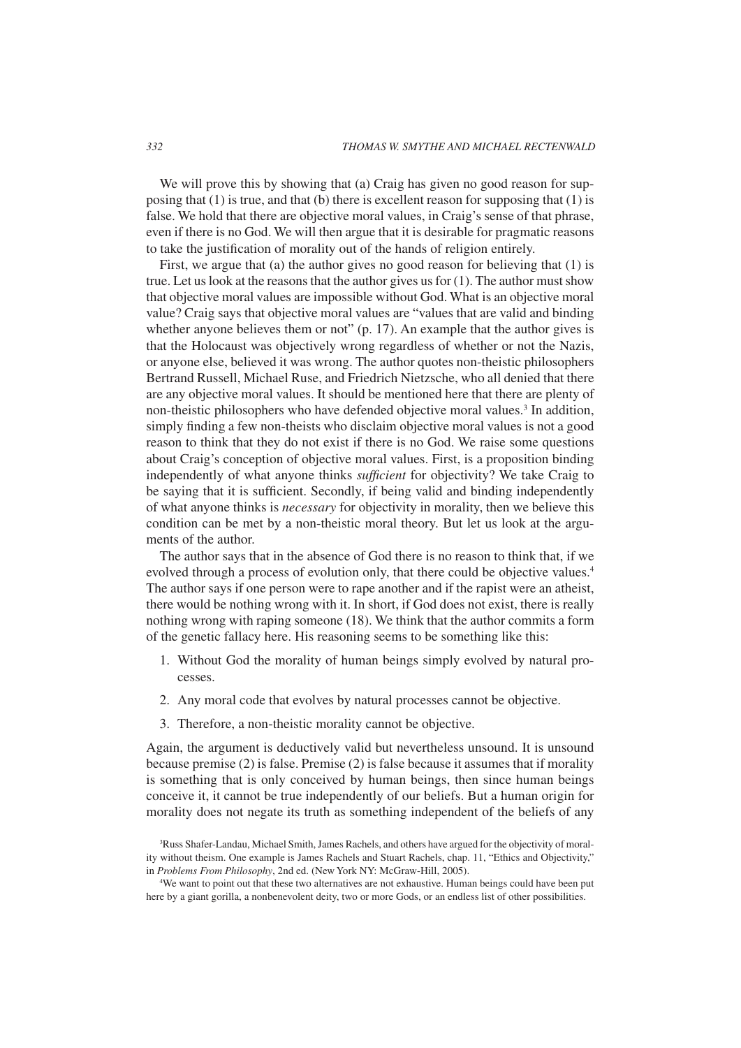We will prove this by showing that (a) Craig has given no good reason for supposing that  $(1)$  is true, and that  $(b)$  there is excellent reason for supposing that  $(1)$  is false. We hold that there are objective moral values, in Craig's sense of that phrase, even if there is no God. We will then argue that it is desirable for pragmatic reasons to take the justification of morality out of the hands of religion entirely.

First, we argue that (a) the author gives no good reason for believing that (1) is true. Let us look at the reasons that the author gives us for (1). The author must show that objective moral values are impossible without God. What is an objective moral value? Craig says that objective moral values are "values that are valid and binding whether anyone believes them or not" (p. 17). An example that the author gives is that the Holocaust was objectively wrong regardless of whether or not the Nazis, or anyone else, believed it was wrong. The author quotes non-theistic philosophers Bertrand Russell, Michael Ruse, and Friedrich Nietzsche, who all denied that there are any objective moral values. It should be mentioned here that there are plenty of non-theistic philosophers who have defended objective moral values.<sup>3</sup> In addition, simply finding a few non-theists who disclaim objective moral values is not a good reason to think that they do not exist if there is no God. We raise some questions about Craig's conception of objective moral values. First, is a proposition binding independently of what anyone thinks *sufficient* for objectivity? We take Craig to be saying that it is sufficient. Secondly, if being valid and binding independently of what anyone thinks is *necessary* for objectivity in morality, then we believe this condition can be met by a non-theistic moral theory. But let us look at the arguments of the author.

The author says that in the absence of God there is no reason to think that, if we evolved through a process of evolution only, that there could be objective values.<sup>4</sup> The author says if one person were to rape another and if the rapist were an atheist, there would be nothing wrong with it. In short, if God does not exist, there is really nothing wrong with raping someone (18). We think that the author commits a form of the genetic fallacy here. His reasoning seems to be something like this:

- 1. Without God the morality of human beings simply evolved by natural processes.
- 2. Any moral code that evolves by natural processes cannot be objective.
- 3. Therefore, a non-theistic morality cannot be objective.

Again, the argument is deductively valid but nevertheless unsound. It is unsound because premise (2) is false. Premise (2) is false because it assumes that if morality is something that is only conceived by human beings, then since human beings conceive it, it cannot be true independently of our beliefs. But a human origin for morality does not negate its truth as something independent of the beliefs of any

<sup>3</sup> Russ Shafer-Landau, Michael Smith, James Rachels, and others have argued for the objectivity of morality without theism. One example is James Rachels and Stuart Rachels, chap. 11, "Ethics and Objectivity," in *Problems From Philosophy*, 2nd ed. (New York NY: McGraw-Hill, 2005).

<sup>4</sup> We want to point out that these two alternatives are not exhaustive. Human beings could have been put here by a giant gorilla, a nonbenevolent deity, two or more Gods, or an endless list of other possibilities.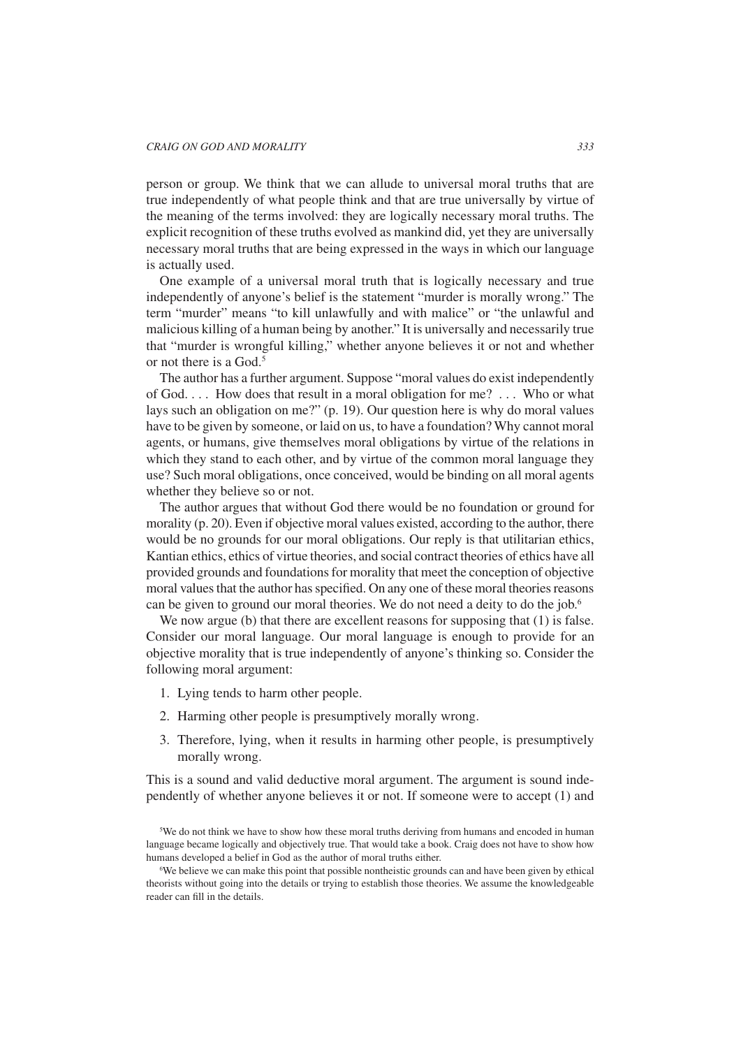person or group. We think that we can allude to universal moral truths that are true independently of what people think and that are true universally by virtue of the meaning of the terms involved: they are logically necessary moral truths. The explicit recognition of these truths evolved as mankind did, yet they are universally necessary moral truths that are being expressed in the ways in which our language is actually used.

One example of a universal moral truth that is logically necessary and true independently of anyone's belief is the statement "murder is morally wrong." The term "murder" means "to kill unlawfully and with malice" or "the unlawful and malicious killing of a human being by another." It is universally and necessarily true that "murder is wrongful killing," whether anyone believes it or not and whether or not there is a God  $<sup>5</sup>$ </sup>

The author has a further argument. Suppose "moral values do exist independently of God. . . . How does that result in a moral obligation for me? . . . Who or what lays such an obligation on me?" (p. 19). Our question here is why do moral values have to be given by someone, or laid on us, to have a foundation? Why cannot moral agents, or humans, give themselves moral obligations by virtue of the relations in which they stand to each other, and by virtue of the common moral language they use? Such moral obligations, once conceived, would be binding on all moral agents whether they believe so or not.

The author argues that without God there would be no foundation or ground for morality (p. 20). Even if objective moral values existed, according to the author, there would be no grounds for our moral obligations. Our reply is that utilitarian ethics, Kantian ethics, ethics of virtue theories, and social contract theories of ethics have all provided grounds and foundations for morality that meet the conception of objective moral values that the author has specified. On any one of these moral theories reasons can be given to ground our moral theories. We do not need a deity to do the job.<sup>6</sup>

We now argue (b) that there are excellent reasons for supposing that (1) is false. Consider our moral language. Our moral language is enough to provide for an objective morality that is true independently of anyone's thinking so. Consider the following moral argument:

- 1. Lying tends to harm other people.
- 2. Harming other people is presumptively morally wrong.
- 3. Therefore, lying, when it results in harming other people, is presumptively morally wrong.

This is a sound and valid deductive moral argument. The argument is sound independently of whether anyone believes it or not. If someone were to accept (1) and

<sup>5</sup> We do not think we have to show how these moral truths deriving from humans and encoded in human language became logically and objectively true. That would take a book. Craig does not have to show how humans developed a belief in God as the author of moral truths either.

We believe we can make this point that possible nontheistic grounds can and have been given by ethical theorists without going into the details or trying to establish those theories. We assume the knowledgeable reader can fill in the details.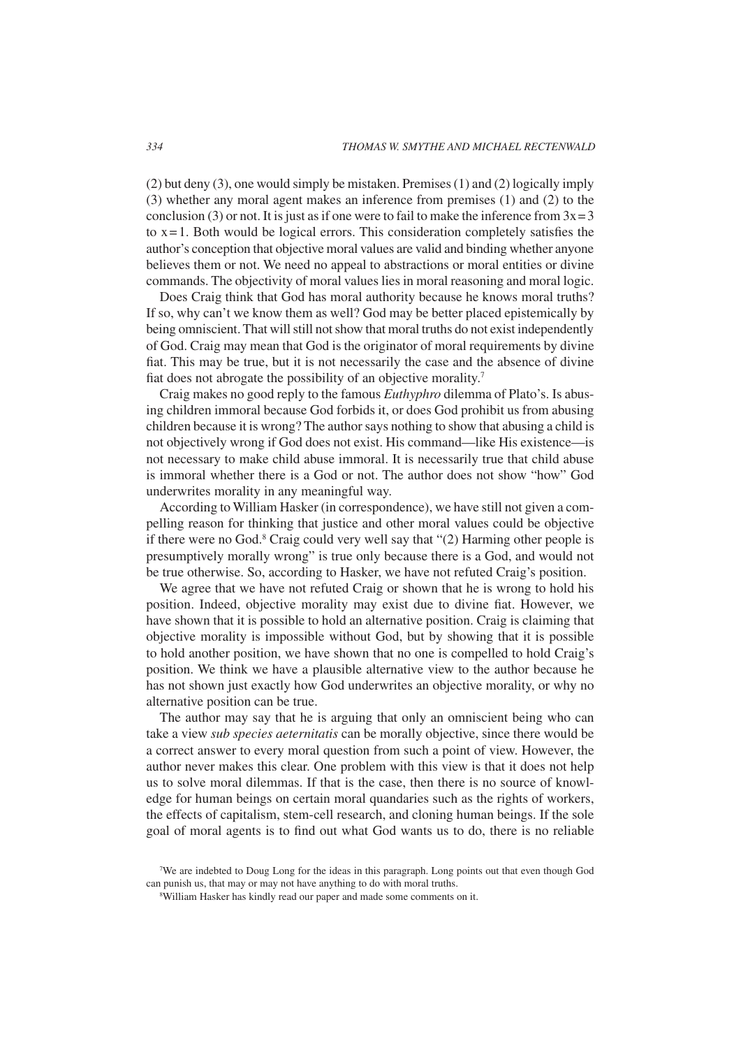(2) but deny (3), one would simply be mistaken. Premises (1) and (2) logically imply (3) whether any moral agent makes an inference from premises (1) and (2) to the conclusion (3) or not. It is just as if one were to fail to make the inference from  $3x=3$ to  $x = 1$ . Both would be logical errors. This consideration completely satisfies the author's conception that objective moral values are valid and binding whether anyone believes them or not. We need no appeal to abstractions or moral entities or divine commands. The objectivity of moral values lies in moral reasoning and moral logic.

Does Craig think that God has moral authority because he knows moral truths? If so, why can't we know them as well? God may be better placed epistemically by being omniscient. That will still not show that moral truths do not exist independently of God. Craig may mean that God is the originator of moral requirements by divine fiat. This may be true, but it is not necessarily the case and the absence of divine fiat does not abrogate the possibility of an objective morality.7

Craig makes no good reply to the famous *Euthyphro* dilemma of Plato's. Is abusing children immoral because God forbids it, or does God prohibit us from abusing children because it is wrong? The author says nothing to show that abusing a child is not objectively wrong if God does not exist. His command—like His existence—is not necessary to make child abuse immoral. It is necessarily true that child abuse is immoral whether there is a God or not. The author does not show "how" God underwrites morality in any meaningful way.

According to William Hasker (in correspondence), we have still not given a compelling reason for thinking that justice and other moral values could be objective if there were no God.<sup>8</sup> Craig could very well say that "(2) Harming other people is presumptively morally wrong" is true only because there is a God, and would not be true otherwise. So, according to Hasker, we have not refuted Craig's position.

We agree that we have not refuted Craig or shown that he is wrong to hold his position. Indeed, objective morality may exist due to divine fiat. However, we have shown that it is possible to hold an alternative position. Craig is claiming that objective morality is impossible without God, but by showing that it is possible to hold another position, we have shown that no one is compelled to hold Craig's position. We think we have a plausible alternative view to the author because he has not shown just exactly how God underwrites an objective morality, or why no alternative position can be true.

The author may say that he is arguing that only an omniscient being who can take a view *sub species aeternitatis* can be morally objective, since there would be a correct answer to every moral question from such a point of view. However, the author never makes this clear. One problem with this view is that it does not help us to solve moral dilemmas. If that is the case, then there is no source of knowledge for human beings on certain moral quandaries such as the rights of workers, the effects of capitalism, stem-cell research, and cloning human beings. If the sole goal of moral agents is to find out what God wants us to do, there is no reliable

<sup>7</sup> We are indebted to Doug Long for the ideas in this paragraph. Long points out that even though God can punish us, that may or may not have anything to do with moral truths.

William Hasker has kindly read our paper and made some comments on it.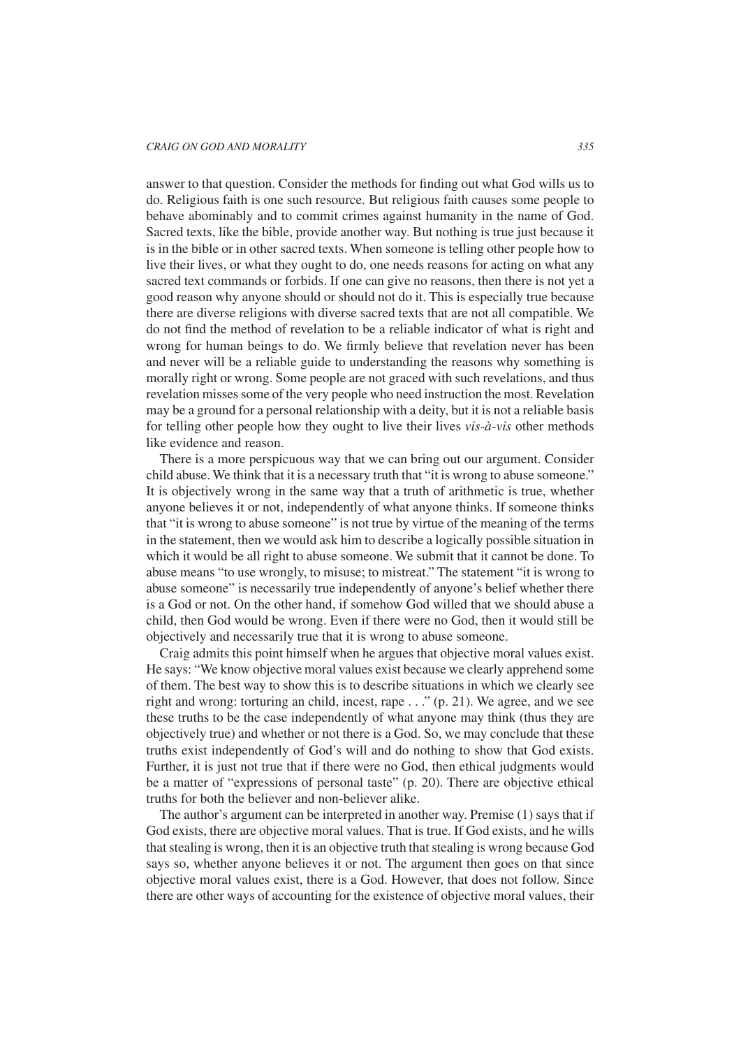answer to that question. Consider the methods for finding out what God wills us to do. Religious faith is one such resource. But religious faith causes some people to behave abominably and to commit crimes against humanity in the name of God. Sacred texts, like the bible, provide another way. But nothing is true just because it is in the bible or in other sacred texts. When someone is telling other people how to live their lives, or what they ought to do, one needs reasons for acting on what any sacred text commands or forbids. If one can give no reasons, then there is not yet a good reason why anyone should or should not do it. This is especially true because there are diverse religions with diverse sacred texts that are not all compatible. We do not find the method of revelation to be a reliable indicator of what is right and wrong for human beings to do. We firmly believe that revelation never has been and never will be a reliable guide to understanding the reasons why something is morally right or wrong. Some people are not graced with such revelations, and thus revelation misses some of the very people who need instruction the most. Revelation may be a ground for a personal relationship with a deity, but it is not a reliable basis for telling other people how they ought to live their lives *vis-à-vis* other methods like evidence and reason.

There is a more perspicuous way that we can bring out our argument. Consider child abuse. We think that it is a necessary truth that "it is wrong to abuse someone." It is objectively wrong in the same way that a truth of arithmetic is true, whether anyone believes it or not, independently of what anyone thinks. If someone thinks that "it is wrong to abuse someone" is not true by virtue of the meaning of the terms in the statement, then we would ask him to describe a logically possible situation in which it would be all right to abuse someone. We submit that it cannot be done. To abuse means "to use wrongly, to misuse; to mistreat." The statement "it is wrong to abuse someone" is necessarily true independently of anyone's belief whether there is a God or not. On the other hand, if somehow God willed that we should abuse a child, then God would be wrong. Even if there were no God, then it would still be objectively and necessarily true that it is wrong to abuse someone.

Craig admits this point himself when he argues that objective moral values exist. He says: "We know objective moral values exist because we clearly apprehend some of them. The best way to show this is to describe situations in which we clearly see right and wrong: torturing an child, incest, rape . . ." (p. 21). We agree, and we see these truths to be the case independently of what anyone may think (thus they are objectively true) and whether or not there is a God. So, we may conclude that these truths exist independently of God's will and do nothing to show that God exists. Further, it is just not true that if there were no God, then ethical judgments would be a matter of "expressions of personal taste" (p. 20). There are objective ethical truths for both the believer and non-believer alike.

The author's argument can be interpreted in another way. Premise (1) says that if God exists, there are objective moral values. That is true. If God exists, and he wills that stealing is wrong, then it is an objective truth that stealing is wrong because God says so, whether anyone believes it or not. The argument then goes on that since objective moral values exist, there is a God. However, that does not follow. Since there are other ways of accounting for the existence of objective moral values, their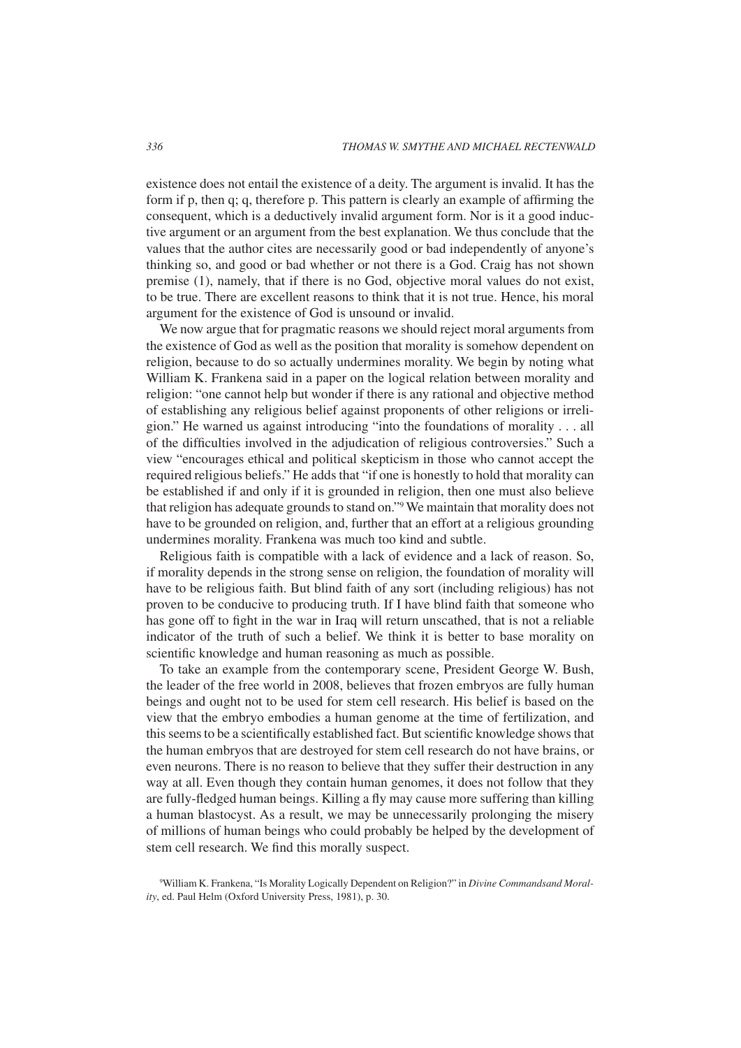existence does not entail the existence of a deity. The argument is invalid. It has the form if p, then q; q, therefore p. This pattern is clearly an example of affirming the consequent, which is a deductively invalid argument form. Nor is it a good inductive argument or an argument from the best explanation. We thus conclude that the values that the author cites are necessarily good or bad independently of anyone's thinking so, and good or bad whether or not there is a God. Craig has not shown premise (1), namely, that if there is no God, objective moral values do not exist, to be true. There are excellent reasons to think that it is not true. Hence, his moral argument for the existence of God is unsound or invalid.

We now argue that for pragmatic reasons we should reject moral arguments from the existence of God as well as the position that morality is somehow dependent on religion, because to do so actually undermines morality. We begin by noting what William K. Frankena said in a paper on the logical relation between morality and religion: "one cannot help but wonder if there is any rational and objective method of establishing any religious belief against proponents of other religions or irreligion." He warned us against introducing "into the foundations of morality . . . all of the difficulties involved in the adjudication of religious controversies." Such a view "encourages ethical and political skepticism in those who cannot accept the required religious beliefs." He adds that "if one is honestly to hold that morality can be established if and only if it is grounded in religion, then one must also believe that religion has adequate grounds to stand on."9 We maintain that morality does not have to be grounded on religion, and, further that an effort at a religious grounding undermines morality. Frankena was much too kind and subtle.

Religious faith is compatible with a lack of evidence and a lack of reason. So, if morality depends in the strong sense on religion, the foundation of morality will have to be religious faith. But blind faith of any sort (including religious) has not proven to be conducive to producing truth. If I have blind faith that someone who has gone off to fight in the war in Iraq will return unscathed, that is not a reliable indicator of the truth of such a belief. We think it is better to base morality on scientific knowledge and human reasoning as much as possible.

To take an example from the contemporary scene, President George W. Bush, the leader of the free world in 2008, believes that frozen embryos are fully human beings and ought not to be used for stem cell research. His belief is based on the view that the embryo embodies a human genome at the time of fertilization, and this seems to be a scientifically established fact. But scientific knowledge shows that the human embryos that are destroyed for stem cell research do not have brains, or even neurons. There is no reason to believe that they suffer their destruction in any way at all. Even though they contain human genomes, it does not follow that they are fully-fledged human beings. Killing a fly may cause more suffering than killing a human blastocyst. As a result, we may be unnecessarily prolonging the misery of millions of human beings who could probably be helped by the development of stem cell research. We find this morally suspect.

<sup>9</sup> William K. Frankena, "Is Morality Logically Dependent on Religion?" in *Divine Commandsand Morality*, ed. Paul Helm (Oxford University Press, 1981), p. 30.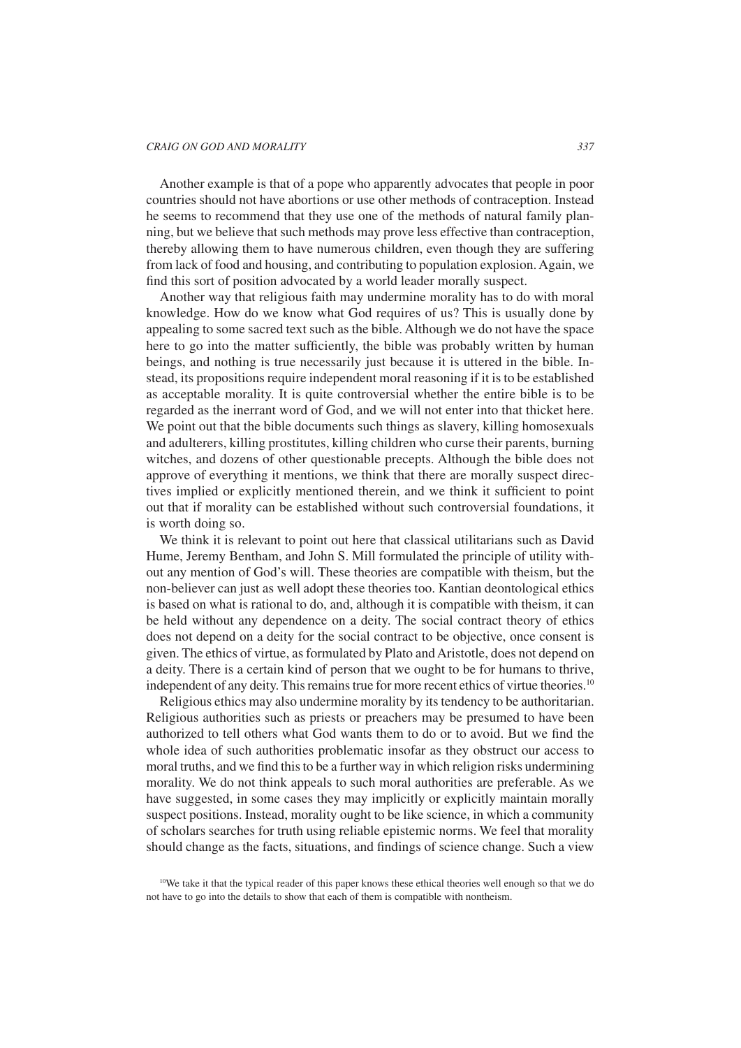Another example is that of a pope who apparently advocates that people in poor countries should not have abortions or use other methods of contraception. Instead he seems to recommend that they use one of the methods of natural family planning, but we believe that such methods may prove less effective than contraception, thereby allowing them to have numerous children, even though they are suffering from lack of food and housing, and contributing to population explosion. Again, we find this sort of position advocated by a world leader morally suspect.

Another way that religious faith may undermine morality has to do with moral knowledge. How do we know what God requires of us? This is usually done by appealing to some sacred text such as the bible. Although we do not have the space here to go into the matter sufficiently, the bible was probably written by human beings, and nothing is true necessarily just because it is uttered in the bible. Instead, its propositions require independent moral reasoning if it is to be established as acceptable morality. It is quite controversial whether the entire bible is to be regarded as the inerrant word of God, and we will not enter into that thicket here. We point out that the bible documents such things as slavery, killing homosexuals and adulterers, killing prostitutes, killing children who curse their parents, burning witches, and dozens of other questionable precepts. Although the bible does not approve of everything it mentions, we think that there are morally suspect directives implied or explicitly mentioned therein, and we think it sufficient to point out that if morality can be established without such controversial foundations, it is worth doing so.

We think it is relevant to point out here that classical utilitarians such as David Hume, Jeremy Bentham, and John S. Mill formulated the principle of utility without any mention of God's will. These theories are compatible with theism, but the non-believer can just as well adopt these theories too. Kantian deontological ethics is based on what is rational to do, and, although it is compatible with theism, it can be held without any dependence on a deity. The social contract theory of ethics does not depend on a deity for the social contract to be objective, once consent is given. The ethics of virtue, as formulated by Plato and Aristotle, does not depend on a deity. There is a certain kind of person that we ought to be for humans to thrive, independent of any deity. This remains true for more recent ethics of virtue theories.<sup>10</sup>

Religious ethics may also undermine morality by its tendency to be authoritarian. Religious authorities such as priests or preachers may be presumed to have been authorized to tell others what God wants them to do or to avoid. But we find the whole idea of such authorities problematic insofar as they obstruct our access to moral truths, and we find this to be a further way in which religion risks undermining morality. We do not think appeals to such moral authorities are preferable. As we have suggested, in some cases they may implicitly or explicitly maintain morally suspect positions. Instead, morality ought to be like science, in which a community of scholars searches for truth using reliable epistemic norms. We feel that morality should change as the facts, situations, and findings of science change. Such a view

<sup>&</sup>lt;sup>10</sup>We take it that the typical reader of this paper knows these ethical theories well enough so that we do not have to go into the details to show that each of them is compatible with nontheism.